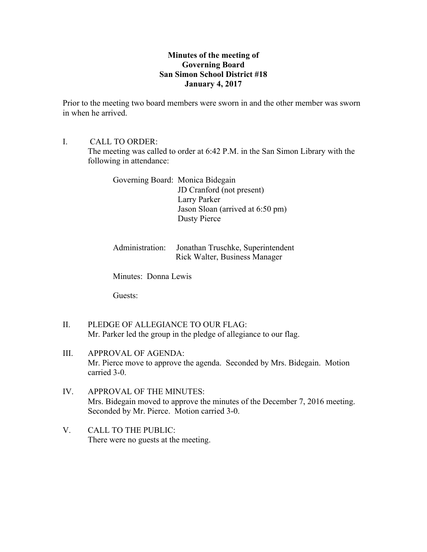# **Minutes of the meeting of Governing Board San Simon School District #18 January 4, 2017**

Prior to the meeting two board members were sworn in and the other member was sworn in when he arrived.

I. CALL TO ORDER:

The meeting was called to order at 6:42 P.M. in the San Simon Library with the following in attendance:

Governing Board: Monica Bidegain JD Cranford (not present) Larry Parker Jason Sloan (arrived at 6:50 pm) Dusty Pierce

Administration: Jonathan Truschke, Superintendent Rick Walter, Business Manager

Minutes: Donna Lewis

Guests:

- II. PLEDGE OF ALLEGIANCE TO OUR FLAG: Mr. Parker led the group in the pledge of allegiance to our flag.
- III. APPROVAL OF AGENDA: Mr. Pierce move to approve the agenda. Seconded by Mrs. Bidegain. Motion carried 3-0.
- IV. APPROVAL OF THE MINUTES: Mrs. Bidegain moved to approve the minutes of the December 7, 2016 meeting. Seconded by Mr. Pierce. Motion carried 3-0.
- V. CALL TO THE PUBLIC: There were no guests at the meeting.